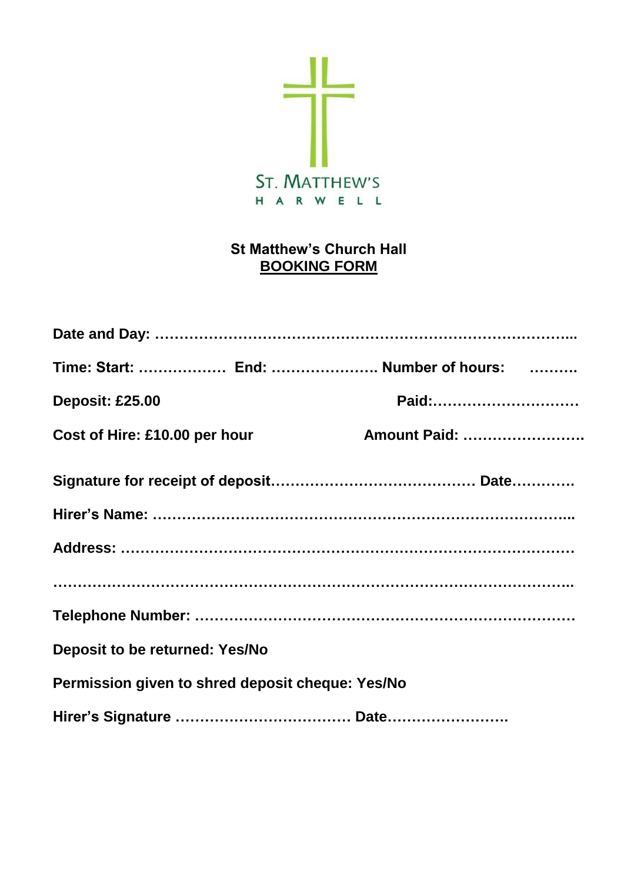

# **St Matthew's Church Hall BOOKING FORM**

|                                                  | Time: Start:  End:  Number of hours: |
|--------------------------------------------------|--------------------------------------|
| <b>Deposit: £25.00</b>                           | Paid:                                |
| Cost of Hire: £10.00 per hour                    | <b>Amount Paid: </b>                 |
|                                                  |                                      |
|                                                  |                                      |
|                                                  |                                      |
|                                                  |                                      |
|                                                  |                                      |
| <b>Deposit to be returned: Yes/No</b>            |                                      |
| Permission given to shred deposit cheque: Yes/No |                                      |
|                                                  |                                      |